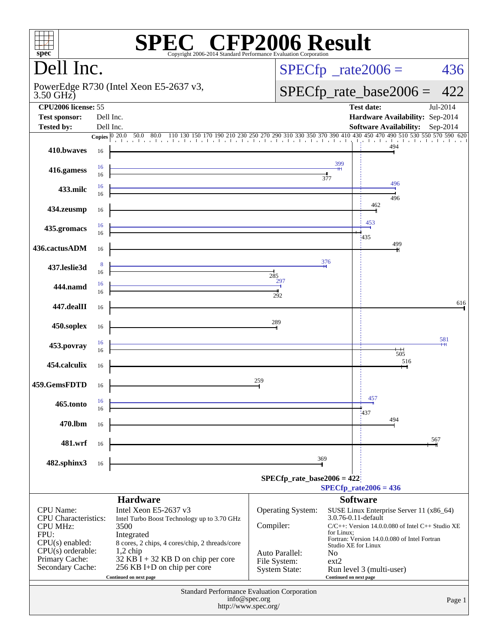| $spec^*$                                        |           | Copyright 2006-2014 Standard Performance Evaluation Corporation                                                                                                  | <b>C® CFP2006 Result</b>                           |                        |                                                       |          |
|-------------------------------------------------|-----------|------------------------------------------------------------------------------------------------------------------------------------------------------------------|----------------------------------------------------|------------------------|-------------------------------------------------------|----------|
| Dell Inc.                                       |           |                                                                                                                                                                  |                                                    |                        | $SPECfp^{\circ}$ _rate2006 =                          | 436      |
| $3.50$ GHz)                                     |           | PowerEdge R730 (Intel Xeon E5-2637 v3,                                                                                                                           |                                                    |                        | $SPECfp_rate\_base2006 =$                             | 422      |
| CPU2006 license: 55                             |           |                                                                                                                                                                  |                                                    |                        | <b>Test date:</b>                                     | Jul-2014 |
| <b>Test sponsor:</b>                            | Dell Inc. |                                                                                                                                                                  |                                                    |                        | Hardware Availability: Sep-2014                       |          |
| <b>Tested by:</b>                               | Dell Inc. |                                                                                                                                                                  |                                                    |                        | <b>Software Availability:</b> Sep-2014                |          |
|                                                 |           | 20.0 50.0 80.0 110 130 150 170 190 210 230 250 270 290 310 330 350 370 390 410 430 450 470 490 510 530 550 570 590 620<br>Copies $ 0\rangle\overline{20.0}$ 50.0 |                                                    |                        |                                                       |          |
| 410.bwayes                                      | 16        |                                                                                                                                                                  |                                                    |                        | 494                                                   |          |
|                                                 | 16        |                                                                                                                                                                  |                                                    | 399                    |                                                       |          |
| 416.gamess                                      | 16        |                                                                                                                                                                  |                                                    | 377                    |                                                       |          |
|                                                 | 16        |                                                                                                                                                                  |                                                    |                        | 496                                                   |          |
| 433.milc                                        | 16        |                                                                                                                                                                  |                                                    |                        | 496                                                   |          |
| 434.zeusmp                                      | 16        |                                                                                                                                                                  |                                                    |                        | 462                                                   |          |
|                                                 |           |                                                                                                                                                                  |                                                    |                        |                                                       |          |
| 435.gromacs                                     | 16        |                                                                                                                                                                  |                                                    |                        | 453                                                   |          |
|                                                 | 16        |                                                                                                                                                                  |                                                    |                        | 435                                                   |          |
| 436.cactusADM                                   | 16        |                                                                                                                                                                  |                                                    |                        | 499                                                   |          |
|                                                 |           |                                                                                                                                                                  |                                                    | 376                    |                                                       |          |
| 437.leslie3d                                    | 8<br>16   |                                                                                                                                                                  |                                                    |                        |                                                       |          |
|                                                 | 16        |                                                                                                                                                                  | 285<br>297                                         |                        |                                                       |          |
| 444.namd                                        | 16        |                                                                                                                                                                  |                                                    |                        |                                                       |          |
|                                                 |           |                                                                                                                                                                  | 292                                                |                        |                                                       | 616      |
| 447.dealII                                      | 16        |                                                                                                                                                                  |                                                    |                        |                                                       |          |
|                                                 |           |                                                                                                                                                                  | 289                                                |                        |                                                       |          |
| 450.soplex                                      | 16        |                                                                                                                                                                  |                                                    |                        |                                                       |          |
| 453.povray                                      | 16        |                                                                                                                                                                  |                                                    |                        |                                                       | 581      |
|                                                 | 16        |                                                                                                                                                                  |                                                    |                        | $\overline{+}$<br>505                                 |          |
| 454.calculix                                    | 16        |                                                                                                                                                                  |                                                    |                        | 516                                                   |          |
|                                                 |           |                                                                                                                                                                  |                                                    |                        |                                                       |          |
| 459.GemsFDTD                                    | 16        |                                                                                                                                                                  | 259                                                |                        |                                                       |          |
|                                                 |           |                                                                                                                                                                  |                                                    |                        | 457                                                   |          |
| 465.tonto                                       | 16<br>16  |                                                                                                                                                                  |                                                    |                        |                                                       |          |
|                                                 |           |                                                                                                                                                                  |                                                    |                        | 1437<br>494                                           |          |
| 470.lbm                                         | 16        |                                                                                                                                                                  |                                                    |                        |                                                       |          |
| 481.wrf                                         |           |                                                                                                                                                                  |                                                    |                        |                                                       | 567      |
|                                                 | 16        |                                                                                                                                                                  |                                                    |                        |                                                       |          |
| 482.sphinx3                                     | 16        |                                                                                                                                                                  |                                                    | 369                    |                                                       |          |
|                                                 |           |                                                                                                                                                                  |                                                    |                        |                                                       |          |
|                                                 |           |                                                                                                                                                                  | $SPECfp_rate\_base2006 = 422$                      |                        |                                                       |          |
|                                                 |           |                                                                                                                                                                  |                                                    |                        | $SPECfp_{rate}2006 = 436$                             |          |
|                                                 |           | <b>Hardware</b>                                                                                                                                                  |                                                    |                        | <b>Software</b>                                       |          |
| <b>CPU</b> Name:<br><b>CPU</b> Characteristics: |           | Intel Xeon E5-2637 v3<br>Intel Turbo Boost Technology up to 3.70 GHz                                                                                             | Operating System:                                  | 3.0.76-0.11-default    | SUSE Linux Enterprise Server 11 (x86_64)              |          |
| <b>CPU MHz:</b>                                 |           | 3500                                                                                                                                                             | Compiler:                                          |                        | $C/C++$ : Version 14.0.0.080 of Intel $C++$ Studio XE |          |
| FPU:                                            |           | Integrated                                                                                                                                                       |                                                    | for Linux;             | Fortran: Version 14.0.0.080 of Intel Fortran          |          |
| $CPU(s)$ enabled:<br>$CPU(s)$ orderable:        |           | 8 cores, 2 chips, 4 cores/chip, 2 threads/core<br>$1,2$ chip                                                                                                     |                                                    | Studio XE for Linux    |                                                       |          |
| Primary Cache:                                  |           | $32$ KB $\overline{1}$ + 32 KB D on chip per core                                                                                                                | Auto Parallel:<br>File System:                     | No<br>ext2             |                                                       |          |
| Secondary Cache:                                |           | 256 KB I+D on chip per core                                                                                                                                      | System State:                                      |                        | Run level 3 (multi-user)                              |          |
|                                                 |           | Continued on next page                                                                                                                                           |                                                    | Continued on next page |                                                       |          |
|                                                 |           |                                                                                                                                                                  | <b>Standard Performance Evaluation Corporation</b> |                        |                                                       |          |
|                                                 |           |                                                                                                                                                                  | info@spec.org                                      |                        |                                                       | Page 1   |
|                                                 |           |                                                                                                                                                                  | http://www.spec.org/                               |                        |                                                       |          |
|                                                 |           |                                                                                                                                                                  |                                                    |                        |                                                       |          |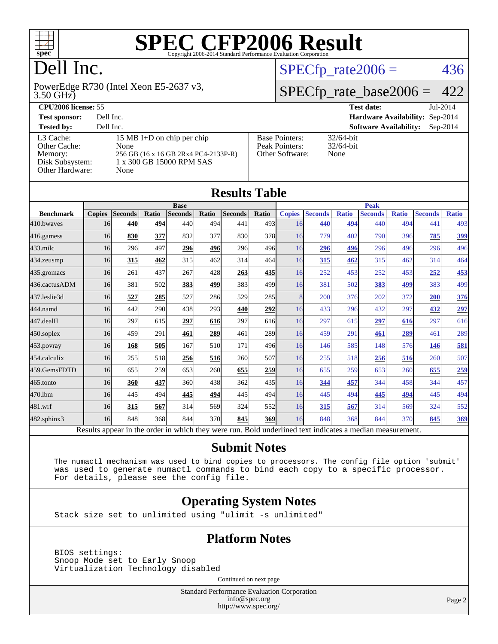

### Dell Inc.

3.50 GHz) PowerEdge R730 (Intel Xeon E5-2637 v3,

#### [L3 Cache:](http://www.spec.org/auto/cpu2006/Docs/result-fields.html#L3Cache) 15 MB I+D on chip per chip<br>Other Cache: None [Other Cache:](http://www.spec.org/auto/cpu2006/Docs/result-fields.html#OtherCache) [Memory:](http://www.spec.org/auto/cpu2006/Docs/result-fields.html#Memory) 256 GB (16 x 16 GB 2Rx4 PC4-2133P-R) [Disk Subsystem:](http://www.spec.org/auto/cpu2006/Docs/result-fields.html#DiskSubsystem) 1 x 300 GB 15000 RPM SAS [Other Hardware:](http://www.spec.org/auto/cpu2006/Docs/result-fields.html#OtherHardware) None

| $\sim$ $\sim$ $\sim$ $\sim$ $\sim$ $\sim$ $\sim$ $\sim$ |           |  |                                        |            |
|---------------------------------------------------------|-----------|--|----------------------------------------|------------|
| <b>CPU2006 license: 55</b>                              |           |  | Test date:                             | $Jul-2014$ |
| <b>Test sponsor:</b>                                    | Dell Inc. |  | <b>Hardware Availability: Sep-2014</b> |            |
| <b>Tested by:</b>                                       | Dell Inc. |  | <b>Software Availability:</b> Sep-2014 |            |
|                                                         |           |  |                                        |            |

[Peak Pointers:](http://www.spec.org/auto/cpu2006/Docs/result-fields.html#PeakPointers)

#### [Base Pointers:](http://www.spec.org/auto/cpu2006/Docs/result-fields.html#BasePointers) 32/64-bit<br>Peak Pointers: 32/64-bit [Other Software:](http://www.spec.org/auto/cpu2006/Docs/result-fields.html#OtherSoftware) None

 $SPECTp_rate2006 = 436$ 

[SPECfp\\_rate\\_base2006 =](http://www.spec.org/auto/cpu2006/Docs/result-fields.html#SPECfpratebase2006)  $422$ 

| <b>Results Table</b> |               |                |       |                |       |                                                                                                          |             |               |                |              |                |              |                |              |
|----------------------|---------------|----------------|-------|----------------|-------|----------------------------------------------------------------------------------------------------------|-------------|---------------|----------------|--------------|----------------|--------------|----------------|--------------|
|                      | <b>Base</b>   |                |       |                |       |                                                                                                          | <b>Peak</b> |               |                |              |                |              |                |              |
| <b>Benchmark</b>     | <b>Copies</b> | <b>Seconds</b> | Ratio | <b>Seconds</b> | Ratio | <b>Seconds</b>                                                                                           | Ratio       | <b>Copies</b> | <b>Seconds</b> | <b>Ratio</b> | <b>Seconds</b> | <b>Ratio</b> | <b>Seconds</b> | <b>Ratio</b> |
| 410.bwayes           | 16            | 440            | 494   | 440            | 494   | 441                                                                                                      | 493         | 16            | 440            | 494          | 440            | 494          | 441            | 493          |
| 416.gamess           | 16            | 830            | 377   | 832            | 377   | 830                                                                                                      | 378         | 16            | 779            | 402          | 790            | 396          | 785            | 399          |
| $433$ .milc          | 16            | 296            | 497   | 296            | 496   | 296                                                                                                      | 496         | 16            | 296            | 496          | 296            | 496          | 296            | 496          |
| 434.zeusmp           | 16            | 315            | 462   | 315            | 462   | 314                                                                                                      | 464         | 16            | 315            | 462          | 315            | 462          | 314            | 464          |
| $435$ .gromacs       | 16            | 261            | 437   | 267            | 428   | 263                                                                                                      | <u>435</u>  | 16            | 252            | 453          | 252            | 453          | 252            | 453          |
| 436.cactusADM        | 16            | 381            | 502   | 383            | 499   | 383                                                                                                      | 499         | <b>16</b>     | 381            | 502          | 383            | 499          | 383            | 499          |
| 437.leslie3d         | 16            | 527            | 285   | 527            | 286   | 529                                                                                                      | 285         | 8             | 200            | 376          | 202            | 372          | 200            | 376          |
| 444.namd             | 16            | 442            | 290   | 438            | 293   | 440                                                                                                      | 292         | 16            | 433            | 296          | 432            | 297          | 432            | 297          |
| 447.dealII           | 16            | 297            | 615   | 297            | 616   | 297                                                                                                      | 616         | 16            | 297            | 615          | 297            | 616          | 297            | 616          |
| 450.soplex           | 16            | 459            | 291   | 461            | 289   | 461                                                                                                      | 289         | 16            | 459            | 291          | 461            | 289          | 461            | 289          |
| $453$ .povray        | 16            | 168            | 505   | 167            | 510   | 171                                                                                                      | 496         | 16            | 146            | 585          | 148            | 576          | 146            | 581          |
| 454.calculix         | 16            | 255            | 518   | 256            | 516   | 260                                                                                                      | 507         | 16            | 255            | 518          | 256            | 516          | 260            | 507          |
| 459.GemsFDTD         | 16            | 655            | 259   | 653            | 260   | 655                                                                                                      | <b>259</b>  | 16            | 655            | 259          | 653            | 260          | 655            | 259          |
| 465.tonto            | 16            | 360            | 437   | 360            | 438   | 362                                                                                                      | 435         | 16            | 344            | 457          | 344            | 458          | 344            | 457          |
| 470.1bm              | 16            | 445            | 494   | 445            | 494   | 445                                                                                                      | 494l        | 16            | 445            | 494          | 445            | 494          | 445            | 494          |
| 481.wrf              | 16            | 315            | 567   | 314            | 569   | 324                                                                                                      | 552         | <b>16</b>     | 315            | 567          | 314            | 569          | 324            | 552          |
| $482$ .sphinx $3$    | 16            | 848            | 368   | 844            | 370   | 845                                                                                                      | <b>369</b>  | 16            | 848            | 368          | 844            | 370          | 845            | 369          |
|                      |               |                |       |                |       | Results appear in the order in which they were run. Bold underlined text indicates a median measurement. |             |               |                |              |                |              |                |              |

#### **[Submit Notes](http://www.spec.org/auto/cpu2006/Docs/result-fields.html#SubmitNotes)**

 The numactl mechanism was used to bind copies to processors. The config file option 'submit' was used to generate numactl commands to bind each copy to a specific processor. For details, please see the config file.

#### **[Operating System Notes](http://www.spec.org/auto/cpu2006/Docs/result-fields.html#OperatingSystemNotes)**

Stack size set to unlimited using "ulimit -s unlimited"

#### **[Platform Notes](http://www.spec.org/auto/cpu2006/Docs/result-fields.html#PlatformNotes)**

 BIOS settings: Snoop Mode set to Early Snoop Virtualization Technology disabled

Continued on next page

Standard Performance Evaluation Corporation [info@spec.org](mailto:info@spec.org) <http://www.spec.org/>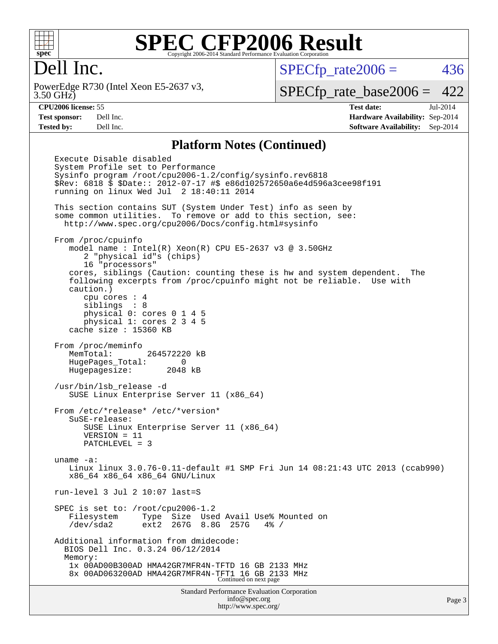

#### Dell Inc.

3.50 GHz) PowerEdge R730 (Intel Xeon E5-2637 v3,  $SPECTp\_rate2006 = 436$ 

[SPECfp\\_rate\\_base2006 =](http://www.spec.org/auto/cpu2006/Docs/result-fields.html#SPECfpratebase2006) 422

**[CPU2006 license:](http://www.spec.org/auto/cpu2006/Docs/result-fields.html#CPU2006license)** 55 **[Test date:](http://www.spec.org/auto/cpu2006/Docs/result-fields.html#Testdate)** Jul-2014 **[Test sponsor:](http://www.spec.org/auto/cpu2006/Docs/result-fields.html#Testsponsor)** Dell Inc. **[Hardware Availability:](http://www.spec.org/auto/cpu2006/Docs/result-fields.html#HardwareAvailability)** Sep-2014 **[Tested by:](http://www.spec.org/auto/cpu2006/Docs/result-fields.html#Testedby)** Dell Inc. **[Software Availability:](http://www.spec.org/auto/cpu2006/Docs/result-fields.html#SoftwareAvailability)** Sep-2014

#### **[Platform Notes \(Continued\)](http://www.spec.org/auto/cpu2006/Docs/result-fields.html#PlatformNotes)**

Standard Performance Evaluation Corporation [info@spec.org](mailto:info@spec.org) Execute Disable disabled System Profile set to Performance Sysinfo program /root/cpu2006-1.2/config/sysinfo.rev6818 \$Rev: 6818 \$ \$Date:: 2012-07-17 #\$ e86d102572650a6e4d596a3cee98f191 running on linux Wed Jul 2 18:40:11 2014 This section contains SUT (System Under Test) info as seen by some common utilities. To remove or add to this section, see: <http://www.spec.org/cpu2006/Docs/config.html#sysinfo> From /proc/cpuinfo model name : Intel(R) Xeon(R) CPU E5-2637 v3 @ 3.50GHz 2 "physical id"s (chips) 16 "processors" cores, siblings (Caution: counting these is hw and system dependent. The following excerpts from /proc/cpuinfo might not be reliable. Use with caution.) cpu cores : 4 siblings : 8 physical 0: cores 0 1 4 5 physical 1: cores 2 3 4 5 cache size : 15360 KB From /proc/meminfo MemTotal: 264572220 kB HugePages\_Total: 0 Hugepagesize: 2048 kB /usr/bin/lsb\_release -d SUSE Linux Enterprise Server 11 (x86\_64) From /etc/\*release\* /etc/\*version\* SuSE-release: SUSE Linux Enterprise Server 11 (x86\_64) VERSION = 11 PATCHLEVEL = 3 uname -a: Linux linux 3.0.76-0.11-default #1 SMP Fri Jun 14 08:21:43 UTC 2013 (ccab990) x86\_64 x86\_64 x86\_64 GNU/Linux run-level 3 Jul 2 10:07 last=S SPEC is set to: /root/cpu2006-1.2 Filesystem Type Size Used Avail Use% Mounted on /dev/sda2 ext2 267G 8.8G 257G 4% / Additional information from dmidecode: BIOS Dell Inc. 0.3.24 06/12/2014 Memory: 1x 00AD00B300AD HMA42GR7MFR4N-TFTD 16 GB 2133 MHz 8x 00AD063200AD HMA42GR7MFR4N-TFT1 16 GB 2133 MHz Continued on next page

<http://www.spec.org/>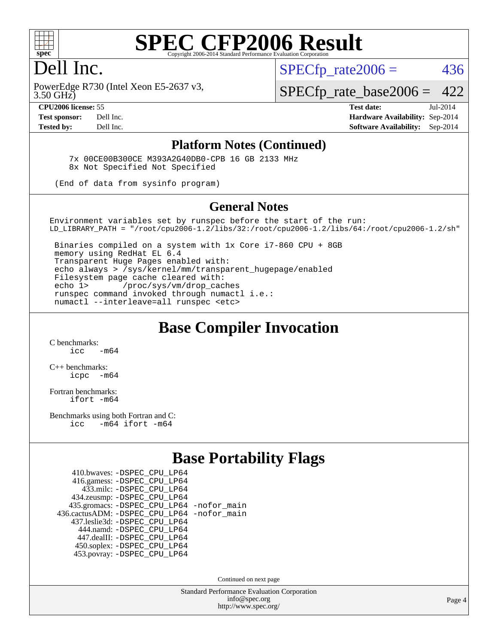

#### Dell Inc.

 $SPECTp\_rate2006 = 436$ 

3.50 GHz) PowerEdge R730 (Intel Xeon E5-2637 v3,

[SPECfp\\_rate\\_base2006 =](http://www.spec.org/auto/cpu2006/Docs/result-fields.html#SPECfpratebase2006) 422

**[CPU2006 license:](http://www.spec.org/auto/cpu2006/Docs/result-fields.html#CPU2006license)** 55 **[Test date:](http://www.spec.org/auto/cpu2006/Docs/result-fields.html#Testdate)** Jul-2014 **[Test sponsor:](http://www.spec.org/auto/cpu2006/Docs/result-fields.html#Testsponsor)** Dell Inc. **[Hardware Availability:](http://www.spec.org/auto/cpu2006/Docs/result-fields.html#HardwareAvailability)** Sep-2014 **[Tested by:](http://www.spec.org/auto/cpu2006/Docs/result-fields.html#Testedby)** Dell Inc. **[Software Availability:](http://www.spec.org/auto/cpu2006/Docs/result-fields.html#SoftwareAvailability)** Sep-2014

#### **[Platform Notes \(Continued\)](http://www.spec.org/auto/cpu2006/Docs/result-fields.html#PlatformNotes)**

 7x 00CE00B300CE M393A2G40DB0-CPB 16 GB 2133 MHz 8x Not Specified Not Specified

(End of data from sysinfo program)

#### **[General Notes](http://www.spec.org/auto/cpu2006/Docs/result-fields.html#GeneralNotes)**

Environment variables set by runspec before the start of the run: LD\_LIBRARY\_PATH = "/root/cpu2006-1.2/libs/32:/root/cpu2006-1.2/libs/64:/root/cpu2006-1.2/sh"

 Binaries compiled on a system with 1x Core i7-860 CPU + 8GB memory using RedHat EL 6.4 Transparent Huge Pages enabled with: echo always > /sys/kernel/mm/transparent\_hugepage/enabled Filesystem page cache cleared with: echo 1> /proc/sys/vm/drop\_caches runspec command invoked through numactl i.e.: numactl --interleave=all runspec <etc>

#### **[Base Compiler Invocation](http://www.spec.org/auto/cpu2006/Docs/result-fields.html#BaseCompilerInvocation)**

[C benchmarks](http://www.spec.org/auto/cpu2006/Docs/result-fields.html#Cbenchmarks):  $\frac{1}{2}$  cc  $-$  m64

[C++ benchmarks:](http://www.spec.org/auto/cpu2006/Docs/result-fields.html#CXXbenchmarks) [icpc -m64](http://www.spec.org/cpu2006/results/res2014q3/cpu2006-20140909-31288.flags.html#user_CXXbase_intel_icpc_64bit_bedb90c1146cab66620883ef4f41a67e)

[Fortran benchmarks](http://www.spec.org/auto/cpu2006/Docs/result-fields.html#Fortranbenchmarks): [ifort -m64](http://www.spec.org/cpu2006/results/res2014q3/cpu2006-20140909-31288.flags.html#user_FCbase_intel_ifort_64bit_ee9d0fb25645d0210d97eb0527dcc06e)

[Benchmarks using both Fortran and C](http://www.spec.org/auto/cpu2006/Docs/result-fields.html#BenchmarksusingbothFortranandC): [icc -m64](http://www.spec.org/cpu2006/results/res2014q3/cpu2006-20140909-31288.flags.html#user_CC_FCbase_intel_icc_64bit_0b7121f5ab7cfabee23d88897260401c) [ifort -m64](http://www.spec.org/cpu2006/results/res2014q3/cpu2006-20140909-31288.flags.html#user_CC_FCbase_intel_ifort_64bit_ee9d0fb25645d0210d97eb0527dcc06e)

#### **[Base Portability Flags](http://www.spec.org/auto/cpu2006/Docs/result-fields.html#BasePortabilityFlags)**

| 410.bwaves: - DSPEC CPU LP64                 |  |
|----------------------------------------------|--|
| 416.gamess: -DSPEC_CPU_LP64                  |  |
| 433.milc: -DSPEC CPU LP64                    |  |
| 434.zeusmp: -DSPEC_CPU_LP64                  |  |
| 435.gromacs: -DSPEC_CPU_LP64 -nofor_main     |  |
| 436.cactusADM: - DSPEC CPU LP64 - nofor main |  |
| 437.leslie3d: -DSPEC_CPU_LP64                |  |
| 444.namd: - DSPEC CPU LP64                   |  |
| 447.dealII: -DSPEC CPU LP64                  |  |
| 450.soplex: -DSPEC_CPU_LP64                  |  |
| 453.povray: -DSPEC CPU LP64                  |  |

Continued on next page

Standard Performance Evaluation Corporation [info@spec.org](mailto:info@spec.org) <http://www.spec.org/>

Page 4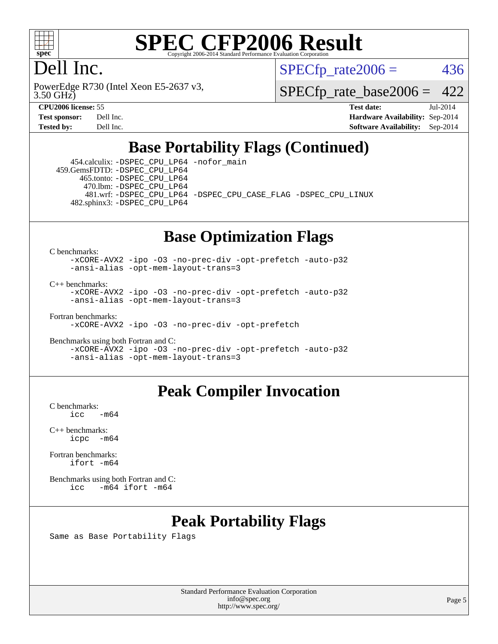

### Dell Inc.

3.50 GHz) PowerEdge R730 (Intel Xeon E5-2637 v3,  $SPECTp\_rate2006 = 436$ 

[SPECfp\\_rate\\_base2006 =](http://www.spec.org/auto/cpu2006/Docs/result-fields.html#SPECfpratebase2006) 422

**[CPU2006 license:](http://www.spec.org/auto/cpu2006/Docs/result-fields.html#CPU2006license)** 55 **[Test date:](http://www.spec.org/auto/cpu2006/Docs/result-fields.html#Testdate)** Jul-2014 **[Test sponsor:](http://www.spec.org/auto/cpu2006/Docs/result-fields.html#Testsponsor)** Dell Inc. **[Hardware Availability:](http://www.spec.org/auto/cpu2006/Docs/result-fields.html#HardwareAvailability)** Sep-2014 **[Tested by:](http://www.spec.org/auto/cpu2006/Docs/result-fields.html#Testedby)** Dell Inc. **[Software Availability:](http://www.spec.org/auto/cpu2006/Docs/result-fields.html#SoftwareAvailability)** Sep-2014

#### **[Base Portability Flags \(Continued\)](http://www.spec.org/auto/cpu2006/Docs/result-fields.html#BasePortabilityFlags)**

 454.calculix: [-DSPEC\\_CPU\\_LP64](http://www.spec.org/cpu2006/results/res2014q3/cpu2006-20140909-31288.flags.html#suite_basePORTABILITY454_calculix_DSPEC_CPU_LP64) [-nofor\\_main](http://www.spec.org/cpu2006/results/res2014q3/cpu2006-20140909-31288.flags.html#user_baseLDPORTABILITY454_calculix_f-nofor_main) 459.GemsFDTD: [-DSPEC\\_CPU\\_LP64](http://www.spec.org/cpu2006/results/res2014q3/cpu2006-20140909-31288.flags.html#suite_basePORTABILITY459_GemsFDTD_DSPEC_CPU_LP64) 465.tonto: [-DSPEC\\_CPU\\_LP64](http://www.spec.org/cpu2006/results/res2014q3/cpu2006-20140909-31288.flags.html#suite_basePORTABILITY465_tonto_DSPEC_CPU_LP64) 470.lbm: [-DSPEC\\_CPU\\_LP64](http://www.spec.org/cpu2006/results/res2014q3/cpu2006-20140909-31288.flags.html#suite_basePORTABILITY470_lbm_DSPEC_CPU_LP64) 481.wrf: [-DSPEC\\_CPU\\_LP64](http://www.spec.org/cpu2006/results/res2014q3/cpu2006-20140909-31288.flags.html#suite_basePORTABILITY481_wrf_DSPEC_CPU_LP64) [-DSPEC\\_CPU\\_CASE\\_FLAG](http://www.spec.org/cpu2006/results/res2014q3/cpu2006-20140909-31288.flags.html#b481.wrf_baseCPORTABILITY_DSPEC_CPU_CASE_FLAG) [-DSPEC\\_CPU\\_LINUX](http://www.spec.org/cpu2006/results/res2014q3/cpu2006-20140909-31288.flags.html#b481.wrf_baseCPORTABILITY_DSPEC_CPU_LINUX) 482.sphinx3: [-DSPEC\\_CPU\\_LP64](http://www.spec.org/cpu2006/results/res2014q3/cpu2006-20140909-31288.flags.html#suite_basePORTABILITY482_sphinx3_DSPEC_CPU_LP64)

#### **[Base Optimization Flags](http://www.spec.org/auto/cpu2006/Docs/result-fields.html#BaseOptimizationFlags)**

[C benchmarks](http://www.spec.org/auto/cpu2006/Docs/result-fields.html#Cbenchmarks):

[-xCORE-AVX2](http://www.spec.org/cpu2006/results/res2014q3/cpu2006-20140909-31288.flags.html#user_CCbase_f-xAVX2_5f5fc0cbe2c9f62c816d3e45806c70d7) [-ipo](http://www.spec.org/cpu2006/results/res2014q3/cpu2006-20140909-31288.flags.html#user_CCbase_f-ipo) [-O3](http://www.spec.org/cpu2006/results/res2014q3/cpu2006-20140909-31288.flags.html#user_CCbase_f-O3) [-no-prec-div](http://www.spec.org/cpu2006/results/res2014q3/cpu2006-20140909-31288.flags.html#user_CCbase_f-no-prec-div) [-opt-prefetch](http://www.spec.org/cpu2006/results/res2014q3/cpu2006-20140909-31288.flags.html#user_CCbase_f-opt-prefetch) [-auto-p32](http://www.spec.org/cpu2006/results/res2014q3/cpu2006-20140909-31288.flags.html#user_CCbase_f-auto-p32) [-ansi-alias](http://www.spec.org/cpu2006/results/res2014q3/cpu2006-20140909-31288.flags.html#user_CCbase_f-ansi-alias) [-opt-mem-layout-trans=3](http://www.spec.org/cpu2006/results/res2014q3/cpu2006-20140909-31288.flags.html#user_CCbase_f-opt-mem-layout-trans_a7b82ad4bd7abf52556d4961a2ae94d5)

[C++ benchmarks:](http://www.spec.org/auto/cpu2006/Docs/result-fields.html#CXXbenchmarks)

[-xCORE-AVX2](http://www.spec.org/cpu2006/results/res2014q3/cpu2006-20140909-31288.flags.html#user_CXXbase_f-xAVX2_5f5fc0cbe2c9f62c816d3e45806c70d7) [-ipo](http://www.spec.org/cpu2006/results/res2014q3/cpu2006-20140909-31288.flags.html#user_CXXbase_f-ipo) [-O3](http://www.spec.org/cpu2006/results/res2014q3/cpu2006-20140909-31288.flags.html#user_CXXbase_f-O3) [-no-prec-div](http://www.spec.org/cpu2006/results/res2014q3/cpu2006-20140909-31288.flags.html#user_CXXbase_f-no-prec-div) [-opt-prefetch](http://www.spec.org/cpu2006/results/res2014q3/cpu2006-20140909-31288.flags.html#user_CXXbase_f-opt-prefetch) [-auto-p32](http://www.spec.org/cpu2006/results/res2014q3/cpu2006-20140909-31288.flags.html#user_CXXbase_f-auto-p32) [-ansi-alias](http://www.spec.org/cpu2006/results/res2014q3/cpu2006-20140909-31288.flags.html#user_CXXbase_f-ansi-alias) [-opt-mem-layout-trans=3](http://www.spec.org/cpu2006/results/res2014q3/cpu2006-20140909-31288.flags.html#user_CXXbase_f-opt-mem-layout-trans_a7b82ad4bd7abf52556d4961a2ae94d5)

[Fortran benchmarks](http://www.spec.org/auto/cpu2006/Docs/result-fields.html#Fortranbenchmarks):

[-xCORE-AVX2](http://www.spec.org/cpu2006/results/res2014q3/cpu2006-20140909-31288.flags.html#user_FCbase_f-xAVX2_5f5fc0cbe2c9f62c816d3e45806c70d7) [-ipo](http://www.spec.org/cpu2006/results/res2014q3/cpu2006-20140909-31288.flags.html#user_FCbase_f-ipo) [-O3](http://www.spec.org/cpu2006/results/res2014q3/cpu2006-20140909-31288.flags.html#user_FCbase_f-O3) [-no-prec-div](http://www.spec.org/cpu2006/results/res2014q3/cpu2006-20140909-31288.flags.html#user_FCbase_f-no-prec-div) [-opt-prefetch](http://www.spec.org/cpu2006/results/res2014q3/cpu2006-20140909-31288.flags.html#user_FCbase_f-opt-prefetch)

[Benchmarks using both Fortran and C](http://www.spec.org/auto/cpu2006/Docs/result-fields.html#BenchmarksusingbothFortranandC): [-xCORE-AVX2](http://www.spec.org/cpu2006/results/res2014q3/cpu2006-20140909-31288.flags.html#user_CC_FCbase_f-xAVX2_5f5fc0cbe2c9f62c816d3e45806c70d7) [-ipo](http://www.spec.org/cpu2006/results/res2014q3/cpu2006-20140909-31288.flags.html#user_CC_FCbase_f-ipo) [-O3](http://www.spec.org/cpu2006/results/res2014q3/cpu2006-20140909-31288.flags.html#user_CC_FCbase_f-O3) [-no-prec-div](http://www.spec.org/cpu2006/results/res2014q3/cpu2006-20140909-31288.flags.html#user_CC_FCbase_f-no-prec-div) [-opt-prefetch](http://www.spec.org/cpu2006/results/res2014q3/cpu2006-20140909-31288.flags.html#user_CC_FCbase_f-opt-prefetch) [-auto-p32](http://www.spec.org/cpu2006/results/res2014q3/cpu2006-20140909-31288.flags.html#user_CC_FCbase_f-auto-p32) [-ansi-alias](http://www.spec.org/cpu2006/results/res2014q3/cpu2006-20140909-31288.flags.html#user_CC_FCbase_f-ansi-alias) [-opt-mem-layout-trans=3](http://www.spec.org/cpu2006/results/res2014q3/cpu2006-20140909-31288.flags.html#user_CC_FCbase_f-opt-mem-layout-trans_a7b82ad4bd7abf52556d4961a2ae94d5)

#### **[Peak Compiler Invocation](http://www.spec.org/auto/cpu2006/Docs/result-fields.html#PeakCompilerInvocation)**

[C benchmarks](http://www.spec.org/auto/cpu2006/Docs/result-fields.html#Cbenchmarks):  $-m64$ 

[C++ benchmarks:](http://www.spec.org/auto/cpu2006/Docs/result-fields.html#CXXbenchmarks) [icpc -m64](http://www.spec.org/cpu2006/results/res2014q3/cpu2006-20140909-31288.flags.html#user_CXXpeak_intel_icpc_64bit_bedb90c1146cab66620883ef4f41a67e)

[Fortran benchmarks](http://www.spec.org/auto/cpu2006/Docs/result-fields.html#Fortranbenchmarks): [ifort -m64](http://www.spec.org/cpu2006/results/res2014q3/cpu2006-20140909-31288.flags.html#user_FCpeak_intel_ifort_64bit_ee9d0fb25645d0210d97eb0527dcc06e)

[Benchmarks using both Fortran and C](http://www.spec.org/auto/cpu2006/Docs/result-fields.html#BenchmarksusingbothFortranandC): [icc -m64](http://www.spec.org/cpu2006/results/res2014q3/cpu2006-20140909-31288.flags.html#user_CC_FCpeak_intel_icc_64bit_0b7121f5ab7cfabee23d88897260401c) [ifort -m64](http://www.spec.org/cpu2006/results/res2014q3/cpu2006-20140909-31288.flags.html#user_CC_FCpeak_intel_ifort_64bit_ee9d0fb25645d0210d97eb0527dcc06e)

#### **[Peak Portability Flags](http://www.spec.org/auto/cpu2006/Docs/result-fields.html#PeakPortabilityFlags)**

Same as Base Portability Flags

Standard Performance Evaluation Corporation [info@spec.org](mailto:info@spec.org) <http://www.spec.org/>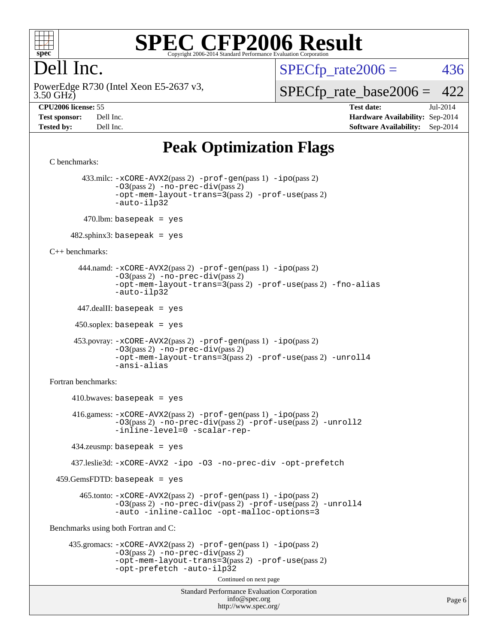

#### Dell Inc.

 $SPECTp\_rate2006 = 436$ 

3.50 GHz) PowerEdge R730 (Intel Xeon E5-2637 v3, [SPECfp\\_rate\\_base2006 =](http://www.spec.org/auto/cpu2006/Docs/result-fields.html#SPECfpratebase2006) 422

**[CPU2006 license:](http://www.spec.org/auto/cpu2006/Docs/result-fields.html#CPU2006license)** 55 **[Test date:](http://www.spec.org/auto/cpu2006/Docs/result-fields.html#Testdate)** Jul-2014 **[Test sponsor:](http://www.spec.org/auto/cpu2006/Docs/result-fields.html#Testsponsor)** Dell Inc. **[Hardware Availability:](http://www.spec.org/auto/cpu2006/Docs/result-fields.html#HardwareAvailability)** Sep-2014 **[Tested by:](http://www.spec.org/auto/cpu2006/Docs/result-fields.html#Testedby)** Dell Inc. **[Software Availability:](http://www.spec.org/auto/cpu2006/Docs/result-fields.html#SoftwareAvailability)** Sep-2014

#### **[Peak Optimization Flags](http://www.spec.org/auto/cpu2006/Docs/result-fields.html#PeakOptimizationFlags)**

```
Standard Performance Evaluation Corporation
                                           info@spec.org
                                         http://www.spec.org/
C benchmarks: 
         433.milc: -xCORE-AVX2(pass 2) -prof-gen(pass 1) -ipo(pass 2)
                -03(pass 2) -no-prec-div(pass 2)-opt-mem-layout-trans=3(pass 2) -prof-use(pass 2)
                -auto-ilp32
        470.lbm: basepeak = yes
     482.sphinx3: basepeak = yes
C++ benchmarks: 
        444.namd: -xCORE-AVX2(pass 2) -prof-gen(pass 1) -ipo(pass 2)
                -O3(pass 2) -no-prec-div(pass 2)
                -opt-mem-layout-trans=3(pass 2) -prof-use(pass 2) -fno-alias
                -auto-ilp32
       447.dealII: basepeak = yes
      450.soplex: basepeak = yes
       453.povray: -xCORE-AVX2(pass 2) -prof-gen(pass 1) -ipo(pass 2)
                -O3(pass 2) -no-prec-div(pass 2)
                -opt-mem-layout-trans=3(pass 2) -prof-use(pass 2) -unroll4
                -ansi-alias
Fortran benchmarks: 
     410.bwaves: basepeak = yes 416.gamess: -xCORE-AVX2(pass 2) -prof-gen(pass 1) -ipo(pass 2)
                -O3(pass 2) -no-prec-div(pass 2) -prof-use(pass 2) -unroll2
                -inline-level=0 -scalar-rep-
      434.zeusmp: basepeak = yes
      437.leslie3d: -xCORE-AVX2 -ipo -O3 -no-prec-div -opt-prefetch
  459.GemsFDTD: basepeak = yes
        465.tonto: -xCORE-AVX2(pass 2) -prof-gen(pass 1) -ipo(pass 2)
                -O3(pass 2) -no-prec-div(pass 2) -prof-use(pass 2) -unroll4
                -auto -inline-calloc -opt-malloc-options=3
Benchmarks using both Fortran and C: 
     435.gromacs: -xCORE-AVX2(pass 2) -prof-gen(pass 1) -ipo(pass 2)
                -O3(pass 2) -no-prec-div(pass 2)
                -opt-mem-layout-trans=3(pass 2) -prof-use(pass 2)
                -opt-prefetch -auto-ilp32
                                         Continued on next page
```